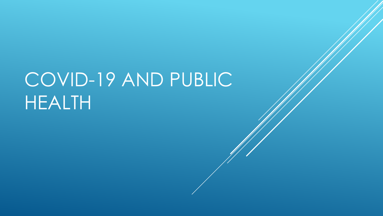# COVID-19 AND PUBLIC HEALTH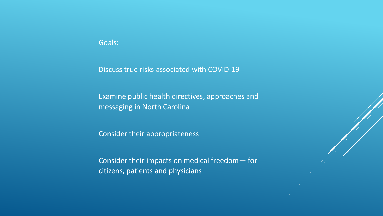## Goals:

Discuss true risks associated with COVID-19

Examine public health directives, approaches and messaging in North Carolina

Consider their appropriateness

Consider their impacts on medical freedom— for citizens, patients and physicians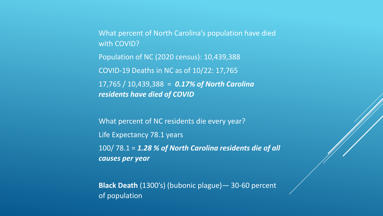What percent of North Carolina's population have died with COVID? Population of NC (2020 census): 10,439,388 COVID-19 Deaths in NC as of 10/22: 17,765 17,765 / 10,439,388 = *0.17% of North Carolina residents have died of COVID*

What percent of NC residents die every year? Life Expectancy 78.1 years 100/ 78.1 = *1.28 % of North Carolina residents die of all causes per year*

**Black Death** (1300's) (bubonic plague)— 30-60 percent of population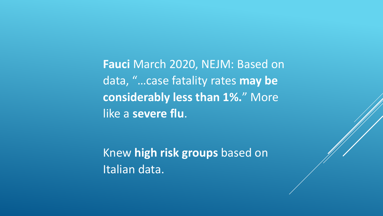**Fauci** March 2020, NEJM: Based on data, "…case fatality rates **may be considerably less than 1%.**" More like a **severe flu**.

Knew **high risk groups** based on Italian data.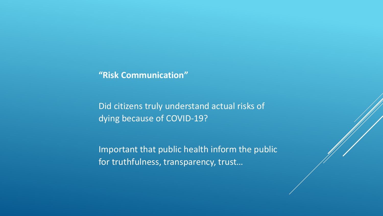# **"Risk Communication"**

Did citizens truly understand actual risks of dying because of COVID-19?

Important that public health inform the public for truthfulness, transparency, trust…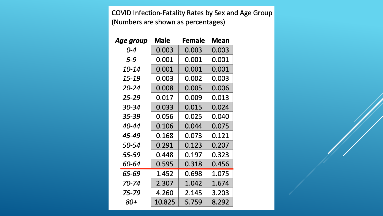COVID Infection-Fatality Rates by Sex and Age Group (Numbers are shown as percentages)

| Age group | <b>Male</b> | <b>Female</b> | Mean  |
|-----------|-------------|---------------|-------|
| 0-4       | 0.003       | 0.003         | 0.003 |
| $5 - 9$   | 0.001       | 0.001         | 0.001 |
| 10-14     | 0.001       | 0.001         | 0.001 |
| 15-19     | 0.003       | 0.002         | 0.003 |
| $20 - 24$ | 0.008       | 0.005         | 0.006 |
| $25 - 29$ | 0.017       | 0.009         | 0.013 |
| 30-34     | 0.033       | 0.015         | 0.024 |
| 35-39     | 0.056       | 0.025         | 0.040 |
| 40-44     | 0.106       | 0.044         | 0.075 |
| 45-49     | 0.168       | 0.073         | 0.121 |
| 50-54     | 0.291       | 0.123         | 0.207 |
| 55-59     | 0.448       | 0.197         | 0.323 |
| 60-64     | 0.595       | 0.318         | 0.456 |
| 65-69     | 1.452       | 0.698         | 1.075 |
| 70-74     | 2.307       | 1.042         | 1.674 |
| 75-79     | 4.260       | 2.145         | 3.203 |
| 80+       | 10.825      | 5.759         | 8.292 |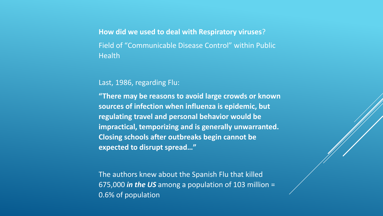**How did we used to deal with Respiratory viruses**? Field of "Communicable Disease Control" within Public **Health** 

Last, 1986, regarding Flu:

**"There may be reasons to avoid large crowds or known sources of infection when influenza is epidemic, but regulating travel and personal behavior would be impractical, temporizing and is generally unwarranted. Closing schools after outbreaks begin cannot be expected to disrupt spread…"**

The authors knew about the Spanish Flu that killed 675,000 *in the US* among a population of 103 million = 0.6% of population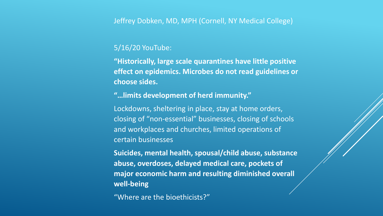# Jeffrey Dobken, MD, MPH (Cornell, NY Medical College)

# 5/16/20 YouTube:

**"Historically, large scale quarantines have little positive effect on epidemics. Microbes do not read guidelines or choose sides.**

**"…limits development of herd immunity."**

Lockdowns, sheltering in place, stay at home orders, closing of "non-essential" businesses, closing of schools and workplaces and churches, limited operations of certain businesses

**Suicides, mental health, spousal/child abuse, substance abuse, overdoses, delayed medical care, pockets of major economic harm and resulting diminished overall well-being**

"Where are the bioethicists?"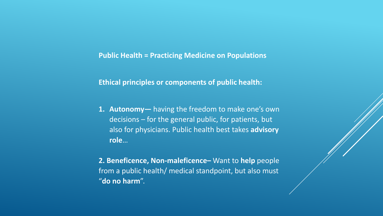**Public Health = Practicing Medicine on Populations**

**Ethical principles or components of public health:**

- **1. Autonomy—** having the freedom to make one's own decisions – for the general public, for patients, but also for physicians. Public health best takes **advisory role**…
- **2. Beneficence, Non-maleficence–** Want to **help** people from a public health/ medical standpoint, but also must "**do no harm**".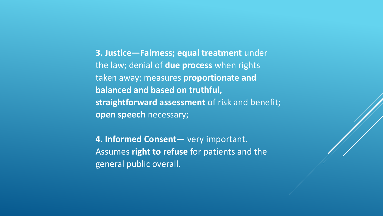**3. Justice—Fairness; equal treatment** under the law; denial of **due process** when rights taken away; measures **proportionate and balanced and based on truthful, straightforward assessment** of risk and benefit; **open speech** necessary;

**4. Informed Consent—** very important. Assumes **right to refuse** for patients and the general public overall.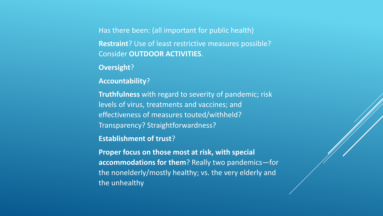Has there been: (all important for public health) **Restraint**? Use of least restrictive measures possible? Consider **OUTDOOR ACTIVITIES**.

**Oversight**?

**Accountability**?

**Truthfulness** with regard to severity of pandemic; risk levels of virus, treatments and vaccines; and effectiveness of measures touted/withheld? Transparency? Straightforwardness?

**Establishment of trust**?

**Proper focus on those most at risk, with special accommodations for them**? Really two pandemics—for the nonelderly/mostly healthy; vs. the very elderly and the unhealthy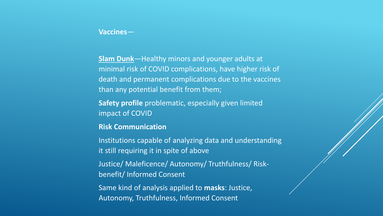#### **Vaccines**—

**Slam Dunk**—Healthy minors and younger adults at minimal risk of COVID complications, have higher risk of death and permanent complications due to the vaccines than any potential benefit from them;

**Safety profile** problematic, especially given limited impact of COVID

**Risk Communication**

Institutions capable of analyzing data and understanding it still requiring it in spite of above

Justice/ Maleficence/ Autonomy/ Truthfulness/ Riskbenefit/ Informed Consent

Same kind of analysis applied to **masks**: Justice, Autonomy, Truthfulness, Informed Consent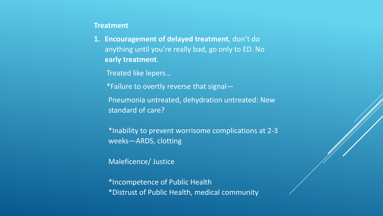#### **Treatment**

**1. Encouragement of delayed treatment**, don't do anything until you're really bad, go only to ED. No **early treatment**.

Treated like lepers…

\*Failure to overtly reverse that signal—

Pneumonia untreated, dehydration untreated: New standard of care?

\*Inability to prevent worrisome complications at 2-3 weeks—ARDS, clotting

Maleficence/ Justice

\*Incompetence of Public Health \*Distrust of Public Health, medical community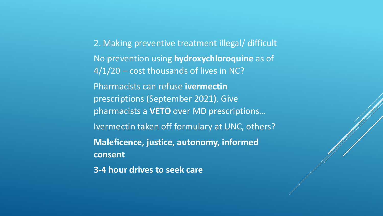2. Making preventive treatment illegal/ difficult No prevention using **hydroxychloroquine** as of 4/1/20 – cost thousands of lives in NC? Pharmacists can refuse **ivermectin** prescriptions (September 2021). Give pharmacists a **VETO** over MD prescriptions… Ivermectin taken off formulary at UNC, others? **Maleficence, justice, autonomy, informed consent**

**3-4 hour drives to seek care**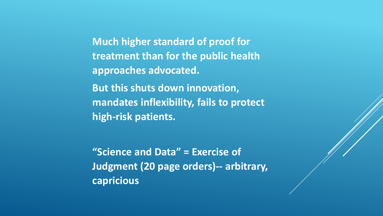**Much higher standard of proof for treatment than for the public health approaches advocated. But this shuts down innovation, mandates inflexibility, fails to protect high-risk patients.**

**"Science and Data" = Exercise of Judgment (20 page orders)-- arbitrary, capricious**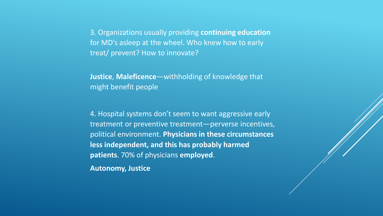3. Organizations usually providing **continuing education** for MD's asleep at the wheel. Who knew how to early treat/ prevent? How to innovate?

**Justice**, **Maleficence**—withholding of knowledge that might benefit people

4. Hospital systems don't seem to want aggressive early treatment or preventive treatment—perverse incentives, political environment. **Physicians in these circumstances less independent, and this has probably harmed patients**. 70% of physicians **employed**.

**Autonomy, Justice**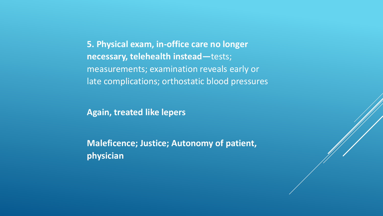**5. Physical exam, in-office care no longer necessary, telehealth instead—**tests; measurements; examination reveals early or late complications; orthostatic blood pressures

**Again, treated like lepers**

**Maleficence; Justice; Autonomy of patient, physician**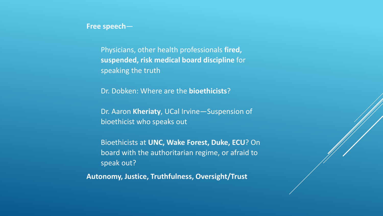**Free speech**—

Physicians, other health professionals **fired, suspended, risk medical board discipline** for speaking the truth

Dr. Dobken: Where are the **bioethicists**?

Dr. Aaron **Kheriaty**, UCal Irvine—Suspension of bioethicist who speaks out

Bioethicists at **UNC, Wake Forest, Duke, ECU**? On board with the authoritarian regime, or afraid to speak out?

**Autonomy, Justice, Truthfulness, Oversight/Trust**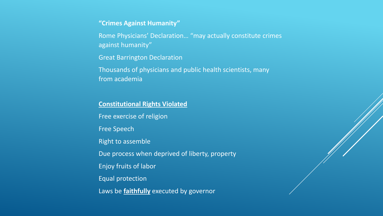#### **"Crimes Against Humanity"**

Rome Physicians' Declaration… "may actually constitute crimes against humanity"

Great Barrington Declaration

Thousands of physicians and public health scientists, many from academia

## **Constitutional Rights Violated**

Free exercise of religion Free Speech

Right to assemble

Due process when deprived of liberty, property

Enjoy fruits of labor

Equal protection

Laws be **faithfully** executed by governor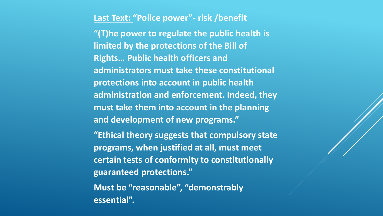**Last Text: "Police power"- risk /benefit "(T)he power to regulate the public health is limited by the protections of the Bill of Rights… Public health officers and administrators must take these constitutional protections into account in public health administration and enforcement. Indeed, they must take them into account in the planning and development of new programs."**

**"Ethical theory suggests that compulsory state programs, when justified at all, must meet certain tests of conformity to constitutionally guaranteed protections."**

**Must be "reasonable", "demonstrably essential".**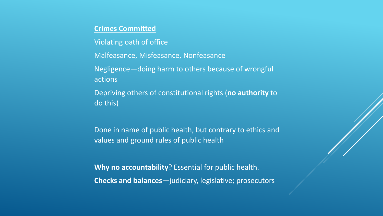# **Crimes Committed**

Violating oath of office

Malfeasance, Misfeasance, Nonfeasance

Negligence—doing harm to others because of wrongful actions

Depriving others of constitutional rights (**no authority** to do this)

Done in name of public health, but contrary to ethics and values and ground rules of public health

**Why no accountability**? Essential for public health. **Checks and balances**—judiciary, legislative; prosecutors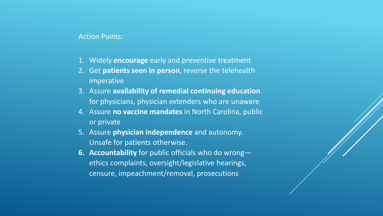#### Action Points:

- 1. Widely **encourage** early and preventive treatment
- 2. Get **patients seen in person**, reverse the telehealth imperative
- 3. Assure **availability of remedial continuing education** for physicians, physician extenders who are unaware
- 4. Assure **no vaccine mandates** in North Carolina, public or private
- 5. Assure **physician independence** and autonomy. Unsafe for patients otherwise.
- **6. Accountability** for public officials who do wrong ethics complaints, oversight/legislative hearings, censure, impeachment/removal, prosecutions